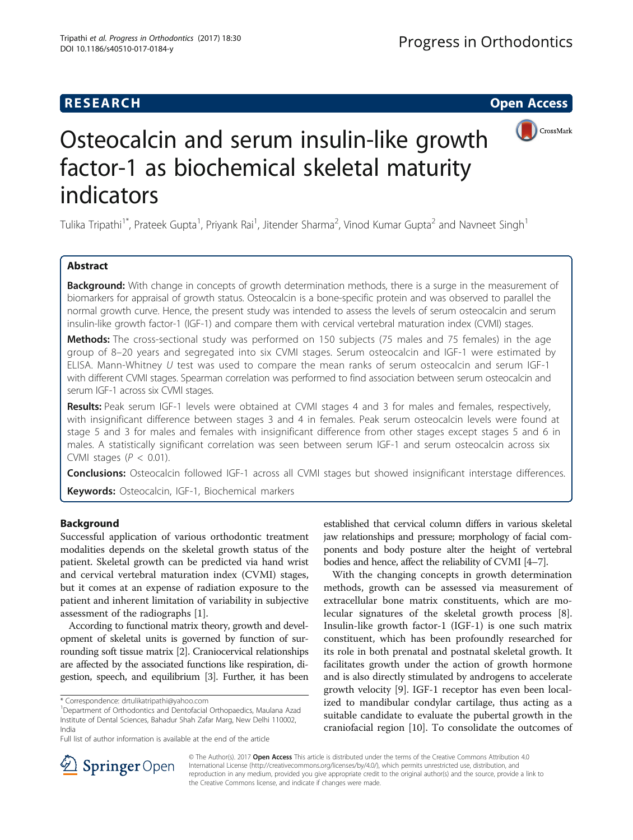## **RESEARCH CHE Open Access**



# Osteocalcin and serum insulin-like growth factor-1 as biochemical skeletal maturity indicators

Tulika Tripathi<sup>1\*</sup>, Prateek Gupta<sup>1</sup>, Priyank Rai<sup>1</sup>, Jitender Sharma<sup>2</sup>, Vinod Kumar Gupta<sup>2</sup> and Navneet Singh<sup>1</sup>

## Abstract

Background: With change in concepts of growth determination methods, there is a surge in the measurement of biomarkers for appraisal of growth status. Osteocalcin is a bone-specific protein and was observed to parallel the normal growth curve. Hence, the present study was intended to assess the levels of serum osteocalcin and serum insulin-like growth factor-1 (IGF-1) and compare them with cervical vertebral maturation index (CVMI) stages.

Methods: The cross-sectional study was performed on 150 subjects (75 males and 75 females) in the age group of 8–20 years and segregated into six CVMI stages. Serum osteocalcin and IGF-1 were estimated by ELISA. Mann-Whitney U test was used to compare the mean ranks of serum osteocalcin and serum IGF-1 with different CVMI stages. Spearman correlation was performed to find association between serum osteocalcin and serum IGF-1 across six CVMI stages.

Results: Peak serum IGF-1 levels were obtained at CVMI stages 4 and 3 for males and females, respectively, with insignificant difference between stages 3 and 4 in females. Peak serum osteocalcin levels were found at stage 5 and 3 for males and females with insignificant difference from other stages except stages 5 and 6 in males. A statistically significant correlation was seen between serum IGF-1 and serum osteocalcin across six CVMI stages ( $P < 0.01$ ).

Conclusions: Osteocalcin followed IGF-1 across all CVMI stages but showed insignificant interstage differences.

Keywords: Osteocalcin, IGF-1, Biochemical markers

## Background

Successful application of various orthodontic treatment modalities depends on the skeletal growth status of the patient. Skeletal growth can be predicted via hand wrist and cervical vertebral maturation index (CVMI) stages, but it comes at an expense of radiation exposure to the patient and inherent limitation of variability in subjective assessment of the radiographs [[1\]](#page-6-0).

According to functional matrix theory, growth and development of skeletal units is governed by function of surrounding soft tissue matrix [\[2\]](#page-6-0). Craniocervical relationships are affected by the associated functions like respiration, digestion, speech, and equilibrium [\[3](#page-6-0)]. Further, it has been

established that cervical column differs in various skeletal jaw relationships and pressure; morphology of facial components and body posture alter the height of vertebral bodies and hence, affect the reliability of CVMI [\[4](#page-6-0)–[7](#page-6-0)].

With the changing concepts in growth determination methods, growth can be assessed via measurement of extracellular bone matrix constituents, which are molecular signatures of the skeletal growth process [\[8](#page-6-0)]. Insulin-like growth factor-1 (IGF-1) is one such matrix constituent, which has been profoundly researched for its role in both prenatal and postnatal skeletal growth. It facilitates growth under the action of growth hormone and is also directly stimulated by androgens to accelerate growth velocity [[9\]](#page-6-0). IGF-1 receptor has even been localized to mandibular condylar cartilage, thus acting as a suitable candidate to evaluate the pubertal growth in the craniofacial region [[10](#page-6-0)]. To consolidate the outcomes of



© The Author(s). 2017 Open Access This article is distributed under the terms of the Creative Commons Attribution 4.0 International License ([http://creativecommons.org/licenses/by/4.0/\)](http://creativecommons.org/licenses/by/4.0/), which permits unrestricted use, distribution, and reproduction in any medium, provided you give appropriate credit to the original author(s) and the source, provide a link to the Creative Commons license, and indicate if changes were made.

<sup>\*</sup> Correspondence: [drtulikatripathi@yahoo.com](mailto:drtulikatripathi@yahoo.com) <sup>1</sup>

<sup>&</sup>lt;sup>1</sup>Department of Orthodontics and Dentofacial Orthopaedics, Maulana Azad Institute of Dental Sciences, Bahadur Shah Zafar Marg, New Delhi 110002, India

Full list of author information is available at the end of the article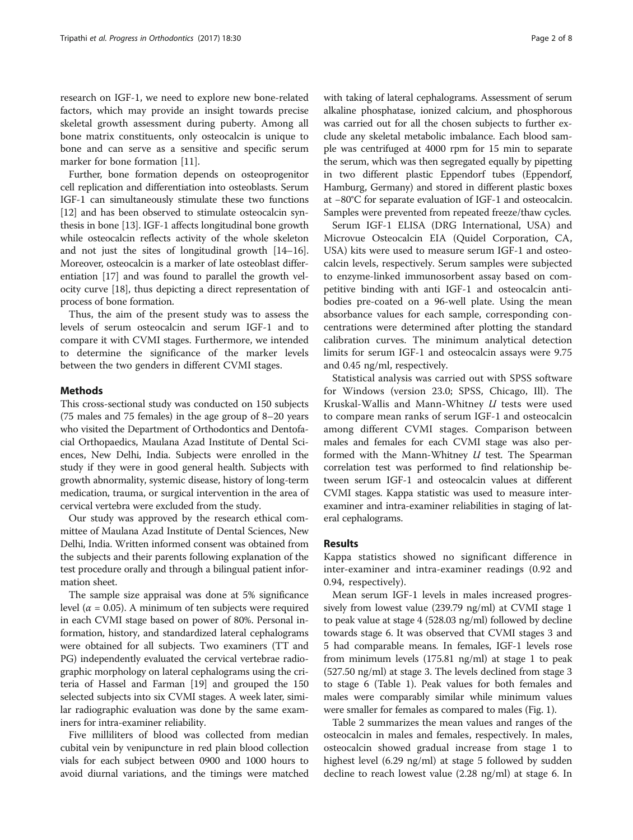research on IGF-1, we need to explore new bone-related factors, which may provide an insight towards precise skeletal growth assessment during puberty. Among all bone matrix constituents, only osteocalcin is unique to bone and can serve as a sensitive and specific serum marker for bone formation [\[11\]](#page-6-0).

Further, bone formation depends on osteoprogenitor cell replication and differentiation into osteoblasts. Serum IGF-1 can simultaneously stimulate these two functions [[12](#page-6-0)] and has been observed to stimulate osteocalcin synthesis in bone [[13](#page-6-0)]. IGF-1 affects longitudinal bone growth while osteocalcin reflects activity of the whole skeleton and not just the sites of longitudinal growth [\[14](#page-6-0)–[16](#page-6-0)]. Moreover, osteocalcin is a marker of late osteoblast differentiation [\[17\]](#page-6-0) and was found to parallel the growth velocity curve [\[18\]](#page-6-0), thus depicting a direct representation of process of bone formation.

Thus, the aim of the present study was to assess the levels of serum osteocalcin and serum IGF-1 and to compare it with CVMI stages. Furthermore, we intended to determine the significance of the marker levels between the two genders in different CVMI stages.

#### **Methods**

This cross-sectional study was conducted on 150 subjects (75 males and 75 females) in the age group of 8–20 years who visited the Department of Orthodontics and Dentofacial Orthopaedics, Maulana Azad Institute of Dental Sciences, New Delhi, India. Subjects were enrolled in the study if they were in good general health. Subjects with growth abnormality, systemic disease, history of long-term medication, trauma, or surgical intervention in the area of cervical vertebra were excluded from the study.

Our study was approved by the research ethical committee of Maulana Azad Institute of Dental Sciences, New Delhi, India. Written informed consent was obtained from the subjects and their parents following explanation of the test procedure orally and through a bilingual patient information sheet.

The sample size appraisal was done at 5% significance level ( $\alpha$  = 0.05). A minimum of ten subjects were required in each CVMI stage based on power of 80%. Personal information, history, and standardized lateral cephalograms were obtained for all subjects. Two examiners (TT and PG) independently evaluated the cervical vertebrae radiographic morphology on lateral cephalograms using the criteria of Hassel and Farman [\[19\]](#page-6-0) and grouped the 150 selected subjects into six CVMI stages. A week later, similar radiographic evaluation was done by the same examiners for intra-examiner reliability.

Five milliliters of blood was collected from median cubital vein by venipuncture in red plain blood collection vials for each subject between 0900 and 1000 hours to avoid diurnal variations, and the timings were matched with taking of lateral cephalograms. Assessment of serum alkaline phosphatase, ionized calcium, and phosphorous was carried out for all the chosen subjects to further exclude any skeletal metabolic imbalance. Each blood sample was centrifuged at 4000 rpm for 15 min to separate the serum, which was then segregated equally by pipetting in two different plastic Eppendorf tubes (Eppendorf, Hamburg, Germany) and stored in different plastic boxes at −80°C for separate evaluation of IGF-1 and osteocalcin. Samples were prevented from repeated freeze/thaw cycles.

Serum IGF-1 ELISA (DRG International, USA) and Microvue Osteocalcin EIA (Quidel Corporation, CA, USA) kits were used to measure serum IGF-1 and osteocalcin levels, respectively. Serum samples were subjected to enzyme-linked immunosorbent assay based on competitive binding with anti IGF-1 and osteocalcin antibodies pre-coated on a 96-well plate. Using the mean absorbance values for each sample, corresponding concentrations were determined after plotting the standard calibration curves. The minimum analytical detection limits for serum IGF-1 and osteocalcin assays were 9.75 and 0.45 ng/ml, respectively.

Statistical analysis was carried out with SPSS software for Windows (version 23.0; SPSS, Chicago, Ill). The Kruskal-Wallis and Mann-Whitney  $U$  tests were used to compare mean ranks of serum IGF-1 and osteocalcin among different CVMI stages. Comparison between males and females for each CVMI stage was also performed with the Mann-Whitney  $U$  test. The Spearman correlation test was performed to find relationship between serum IGF-1 and osteocalcin values at different CVMI stages. Kappa statistic was used to measure interexaminer and intra-examiner reliabilities in staging of lateral cephalograms.

#### Results

Kappa statistics showed no significant difference in inter-examiner and intra-examiner readings (0.92 and 0.94, respectively).

Mean serum IGF-1 levels in males increased progressively from lowest value (239.79 ng/ml) at CVMI stage 1 to peak value at stage 4 (528.03 ng/ml) followed by decline towards stage 6. It was observed that CVMI stages 3 and 5 had comparable means. In females, IGF-1 levels rose from minimum levels (175.81 ng/ml) at stage 1 to peak (527.50 ng/ml) at stage 3. The levels declined from stage 3 to stage 6 (Table [1\)](#page-2-0). Peak values for both females and males were comparably similar while minimum values were smaller for females as compared to males (Fig. [1\)](#page-2-0).

Table [2](#page-3-0) summarizes the mean values and ranges of the osteocalcin in males and females, respectively. In males, osteocalcin showed gradual increase from stage 1 to highest level (6.29 ng/ml) at stage 5 followed by sudden decline to reach lowest value (2.28 ng/ml) at stage 6. In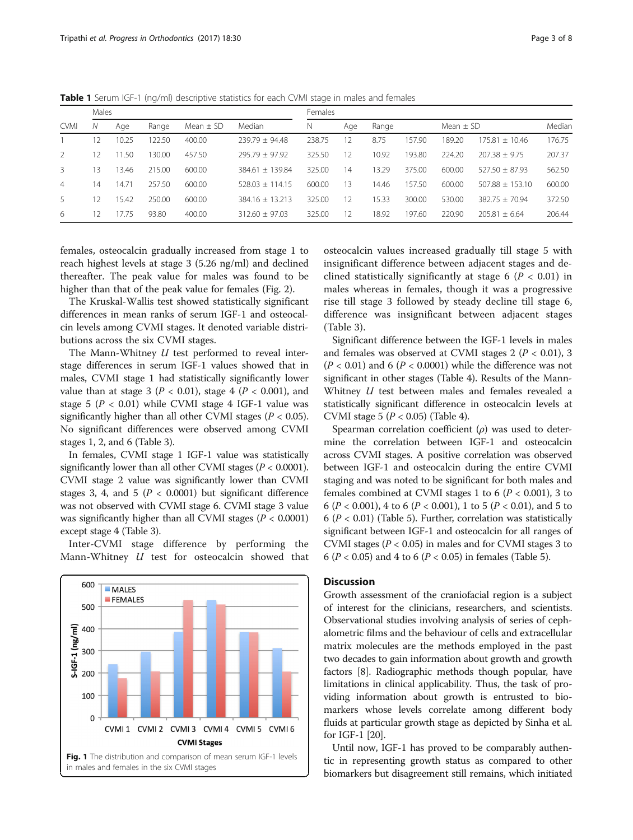|                | Males         |       |        |               |                   |        | Females |       |        |               |                   |        |  |  |  |
|----------------|---------------|-------|--------|---------------|-------------------|--------|---------|-------|--------|---------------|-------------------|--------|--|--|--|
| <b>CVMI</b>    | N<br>Age      |       | Range  | Mean $\pm$ SD | Median            | N      | Age     | Range |        | Mean $\pm$ SD |                   | Median |  |  |  |
|                | 2             | 10.25 | 22.50  | 400.00        | $739.79 + 94.48$  | 238.75 | 12      | 8.75  | 157.90 | 189.20        | $175.81 + 10.46$  | 176.75 |  |  |  |
| $\mathcal{L}$  | $\mathcal{L}$ | 11.50 | 130.00 | 457.50        | $795.79 + 97.92$  | 325.50 | 12      | 10.92 | 193.80 | 224.20        | $207.38 + 9.75$   | 207.37 |  |  |  |
| 3              | Β             | 13.46 | 215.00 | 600.00        | $384.61 + 139.84$ | 325.00 | 14      | 13.29 | 375.00 | 600.00        | $527.50 + 87.93$  | 562.50 |  |  |  |
| $\overline{4}$ | 14            | 14.71 | 257.50 | 600.00        | $528.03 + 114.15$ | 600.00 | 13      | 14.46 | 157.50 | 600.00        | $507.88 + 153.10$ | 600.00 |  |  |  |
| $\overline{a}$ | 2             | 15.42 | 250.00 | 600.00        | $384.16 + 13.213$ | 325.00 | 12      | 15.33 | 300.00 | 530.00        | $382.75 + 70.94$  | 372.50 |  |  |  |
| 6              | 2             | 17.75 | 93.80  | 400.00        | $312.60 + 97.03$  | 325.00 | 12      | 18.92 | 197.60 | 220.90        | $205.81 + 6.64$   | 206.44 |  |  |  |

<span id="page-2-0"></span>Table 1 Serum IGF-1 (ng/ml) descriptive statistics for each CVMI stage in males and females

females, osteocalcin gradually increased from stage 1 to reach highest levels at stage 3 (5.26 ng/ml) and declined thereafter. The peak value for males was found to be higher than that of the peak value for females (Fig. [2](#page-3-0)).

The Kruskal-Wallis test showed statistically significant differences in mean ranks of serum IGF-1 and osteocalcin levels among CVMI stages. It denoted variable distributions across the six CVMI stages.

The Mann-Whitney *U* test performed to reveal interstage differences in serum IGF-1 values showed that in males, CVMI stage 1 had statistically significantly lower value than at stage 3 ( $P < 0.01$ ), stage 4 ( $P < 0.001$ ), and stage 5 ( $P < 0.01$ ) while CVMI stage 4 IGF-1 value was significantly higher than all other CVMI stages ( $P < 0.05$ ). No significant differences were observed among CVMI stages 1, 2, and 6 (Table [3](#page-4-0)).

In females, CVMI stage 1 IGF-1 value was statistically significantly lower than all other CVMI stages ( $P < 0.0001$ ). CVMI stage 2 value was significantly lower than CVMI stages 3, 4, and 5 ( $P < 0.0001$ ) but significant difference was not observed with CVMI stage 6. CVMI stage 3 value was significantly higher than all CVMI stages ( $P < 0.0001$ ) except stage 4 (Table [3](#page-4-0)).

Inter-CVMI stage difference by performing the Mann-Whitney U test for osteocalcin showed that



osteocalcin values increased gradually till stage 5 with insignificant difference between adjacent stages and declined statistically significantly at stage 6 ( $P < 0.01$ ) in males whereas in females, though it was a progressive rise till stage 3 followed by steady decline till stage 6, difference was insignificant between adjacent stages (Table [3\)](#page-4-0).

Significant difference between the IGF-1 levels in males and females was observed at CVMI stages  $2 (P < 0.01)$ , 3  $(P < 0.01)$  and 6  $(P < 0.0001)$  while the difference was not significant in other stages (Table [4](#page-5-0)). Results of the Mann-Whitney *U* test between males and females revealed a statistically significant difference in osteocalcin levels at CVMI stage 5 ( $P < 0.05$ ) (Table [4\)](#page-5-0).

Spearman correlation coefficient  $(\rho)$  was used to determine the correlation between IGF-1 and osteocalcin across CVMI stages. A positive correlation was observed between IGF-1 and osteocalcin during the entire CVMI staging and was noted to be significant for both males and females combined at CVMI stages 1 to 6 ( $P < 0.001$ ), 3 to 6 ( $P < 0.001$ ), 4 to 6 ( $P < 0.001$ ), 1 to 5 ( $P < 0.01$ ), and 5 to  $6 (P < 0.01)$  (Table [5\)](#page-5-0). Further, correlation was statistically significant between IGF-1 and osteocalcin for all ranges of CVMI stages ( $P < 0.05$ ) in males and for CVMI stages 3 to 6 ( $P < 0.05$ ) and 4 to 6 ( $P < 0.05$ ) in females (Table [5](#page-5-0)).

#### **Discussion**

Growth assessment of the craniofacial region is a subject of interest for the clinicians, researchers, and scientists. Observational studies involving analysis of series of cephalometric films and the behaviour of cells and extracellular matrix molecules are the methods employed in the past two decades to gain information about growth and growth factors [\[8](#page-6-0)]. Radiographic methods though popular, have limitations in clinical applicability. Thus, the task of providing information about growth is entrusted to biomarkers whose levels correlate among different body fluids at particular growth stage as depicted by Sinha et al. for IGF-1 [\[20\]](#page-6-0).

Until now, IGF-1 has proved to be comparably authentic in representing growth status as compared to other biomarkers but disagreement still remains, which initiated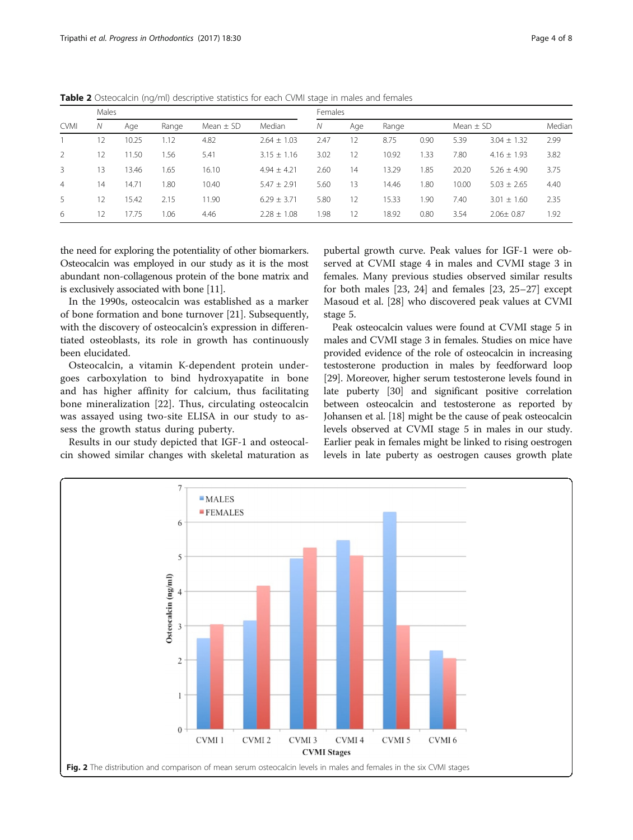| <b>CVMI</b>    | Males |       |       |               |                 |      | Females |       |      |               |                 |        |  |  |  |
|----------------|-------|-------|-------|---------------|-----------------|------|---------|-------|------|---------------|-----------------|--------|--|--|--|
|                | Ν     | Age   | Range | Mean $\pm$ SD | Median          | Ν    | Age     | Range |      | Mean $\pm$ SD |                 | Median |  |  |  |
|                | 12    | 10.25 | 1.12  | 4.82          | $2.64 \pm 1.03$ | 2.47 | 12      | 8.75  | 0.90 | 5.39          | $3.04 \pm 1.32$ | 2.99   |  |  |  |
| 2              | 12    | 11.50 | 1.56  | 5.41          | $3.15 \pm 1.16$ | 3.02 | 12      | 10.92 | 1.33 | 7.80          | $4.16 \pm 1.93$ | 3.82   |  |  |  |
| 3              | 13    | 13.46 | 1.65  | 16.10         | $4.94 \pm 4.21$ | 2.60 | 14      | 13.29 | 1.85 | 20.20         | $5.26 \pm 4.90$ | 3.75   |  |  |  |
| $\overline{4}$ | 14    | 14.71 | 1.80  | 10.40         | $5.47 + 2.91$   | 5.60 | 13      | 14.46 | 1.80 | 10.00         | $5.03 \pm 2.65$ | 4.40   |  |  |  |
| 5              | 12    | 15.42 | 2.15  | 11.90         | $6.29 + 3.71$   | 5.80 | 12      | 15.33 | .90  | 7.40          | $3.01 \pm 1.60$ | 2.35   |  |  |  |
| 6              | 12    | 17.75 | 1.06  | 4.46          | $2.28 \pm 1.08$ | 1.98 | 12      | 18.92 | 0.80 | 3.54          | $2.06 \pm 0.87$ | 1.92   |  |  |  |

<span id="page-3-0"></span>Table 2 Osteocalcin (ng/ml) descriptive statistics for each CVMI stage in males and females

the need for exploring the potentiality of other biomarkers. Osteocalcin was employed in our study as it is the most abundant non-collagenous protein of the bone matrix and is exclusively associated with bone [\[11\]](#page-6-0).

In the 1990s, osteocalcin was established as a marker of bone formation and bone turnover [\[21](#page-6-0)]. Subsequently, with the discovery of osteocalcin's expression in differentiated osteoblasts, its role in growth has continuously been elucidated.

Osteocalcin, a vitamin K-dependent protein undergoes carboxylation to bind hydroxyapatite in bone and has higher affinity for calcium, thus facilitating bone mineralization [[22\]](#page-6-0). Thus, circulating osteocalcin was assayed using two-site ELISA in our study to assess the growth status during puberty.

Results in our study depicted that IGF-1 and osteocalcin showed similar changes with skeletal maturation as

pubertal growth curve. Peak values for IGF-1 were observed at CVMI stage 4 in males and CVMI stage 3 in females. Many previous studies observed similar results for both males [[23](#page-6-0), [24\]](#page-6-0) and females [[23](#page-6-0), [25](#page-7-0)–[27](#page-7-0)] except Masoud et al. [[28](#page-7-0)] who discovered peak values at CVMI stage 5.

Peak osteocalcin values were found at CVMI stage 5 in males and CVMI stage 3 in females. Studies on mice have provided evidence of the role of osteocalcin in increasing testosterone production in males by feedforward loop [[29](#page-7-0)]. Moreover, higher serum testosterone levels found in late puberty [\[30\]](#page-7-0) and significant positive correlation between osteocalcin and testosterone as reported by Johansen et al. [[18](#page-6-0)] might be the cause of peak osteocalcin levels observed at CVMI stage 5 in males in our study. Earlier peak in females might be linked to rising oestrogen levels in late puberty as oestrogen causes growth plate

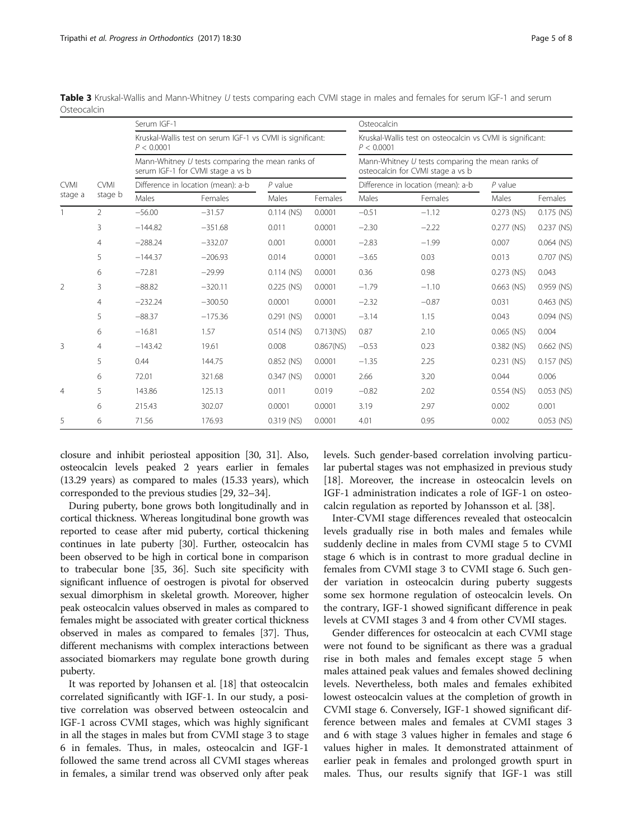|                |                | Serum IGF-1 |                                                                                       |              |              | Osteocalcin<br>Kruskal-Wallis test on osteocalcin vs CVMI is significant:<br>P < 0.0001<br>Mann-Whitney U tests comparing the mean ranks of<br>osteocalcin for CVMI stage a vs b |                                    |              |              |  |  |
|----------------|----------------|-------------|---------------------------------------------------------------------------------------|--------------|--------------|----------------------------------------------------------------------------------------------------------------------------------------------------------------------------------|------------------------------------|--------------|--------------|--|--|
|                |                | P < 0.0001  | Kruskal-Wallis test on serum IGF-1 vs CVMI is significant:                            |              |              |                                                                                                                                                                                  |                                    |              |              |  |  |
|                |                |             | Mann-Whitney U tests comparing the mean ranks of<br>serum IGF-1 for CVMI stage a vs b |              |              |                                                                                                                                                                                  |                                    |              |              |  |  |
| <b>CVMI</b>    | <b>CVMI</b>    |             | Difference in location (mean): a-b                                                    | $P$ value    |              |                                                                                                                                                                                  | Difference in location (mean): a-b | $P$ value    |              |  |  |
| stage a        | stage b        | Males       | Females                                                                               | Males        | Females      | Males                                                                                                                                                                            | Females                            | Males        | Females      |  |  |
|                | $\overline{2}$ | $-56.00$    | $-31.57$                                                                              | $0.114$ (NS) | 0.0001       | $-0.51$                                                                                                                                                                          | $-1.12$                            | $0.273$ (NS) | $0.175$ (NS) |  |  |
|                | 3              | $-144.82$   | $-351.68$                                                                             | 0.011        | 0.0001       | $-2.30$                                                                                                                                                                          | $-2.22$                            | $0.277$ (NS) | $0.237$ (NS) |  |  |
|                | $\overline{4}$ | $-288.24$   | $-332.07$                                                                             | 0.001        | 0.0001       | $-2.83$                                                                                                                                                                          | $-1.99$                            | 0.007        | $0.064$ (NS) |  |  |
|                | 5              | $-144.37$   | $-206.93$                                                                             | 0.014        | 0.0001       | $-3.65$                                                                                                                                                                          | 0.03                               | 0.013        | 0.707 (NS)   |  |  |
|                | 6              | $-72.81$    | $-29.99$                                                                              | $0.114$ (NS) | 0.0001       | 0.36                                                                                                                                                                             | 0.98                               | $0.273$ (NS) | 0.043        |  |  |
| $\overline{2}$ | 3              | $-88.82$    | $-320.11$                                                                             | $0.225$ (NS) | 0.0001       | $-1.79$                                                                                                                                                                          | $-1.10$                            | $0.663$ (NS) | 0.959 (NS)   |  |  |
|                | $\overline{4}$ | $-232.24$   | $-300.50$                                                                             | 0.0001       | 0.0001       | $-2.32$                                                                                                                                                                          | $-0.87$                            | 0.031        | 0.463 (NS)   |  |  |
|                | 5              | $-88.37$    | $-175.36$                                                                             | $0.291$ (NS) | 0.0001       | $-3.14$                                                                                                                                                                          | 1.15                               | 0.043        | $0.094$ (NS) |  |  |
|                | 6              | $-16.81$    | 1.57                                                                                  | $0.514$ (NS) | $0.713$ (NS) | 0.87                                                                                                                                                                             | 2.10                               | $0.065$ (NS) | 0.004        |  |  |
| 3              | $\overline{4}$ | $-143.42$   | 19.61                                                                                 | 0.008        | $0.867$ (NS) | $-0.53$                                                                                                                                                                          | 0.23                               | $0.382$ (NS) | $0.662$ (NS) |  |  |
|                | 5              | 0.44        | 144.75                                                                                | 0.852 (NS)   | 0.0001       | $-1.35$                                                                                                                                                                          | 2.25                               | $0.231$ (NS) | $0.157$ (NS) |  |  |
|                | 6              | 72.01       | 321.68                                                                                | $0.347$ (NS) | 0.0001       | 2.66                                                                                                                                                                             | 3.20                               | 0.044        | 0.006        |  |  |
| $\overline{4}$ | 5              | 143.86      | 125.13                                                                                | 0.011        | 0.019        | $-0.82$                                                                                                                                                                          | 2.02                               | $0.554$ (NS) | 0.053 (NS)   |  |  |
|                | 6              | 215.43      | 302.07                                                                                | 0.0001       | 0.0001       | 3.19                                                                                                                                                                             | 2.97                               | 0.002        | 0.001        |  |  |
| 5              | 6              | 71.56       | 176.93                                                                                | $0.319$ (NS) | 0.0001       | 4.01                                                                                                                                                                             | 0.95                               | 0.002        | $0.053$ (NS) |  |  |

<span id="page-4-0"></span>Table 3 Kruskal-Wallis and Mann-Whitney U tests comparing each CVMI stage in males and females for serum IGF-1 and serum **Osteocalcin** 

closure and inhibit periosteal apposition [\[30, 31](#page-7-0)]. Also, osteocalcin levels peaked 2 years earlier in females (13.29 years) as compared to males (15.33 years), which corresponded to the previous studies [[29](#page-7-0), [32](#page-7-0)–[34](#page-7-0)].

During puberty, bone grows both longitudinally and in cortical thickness. Whereas longitudinal bone growth was reported to cease after mid puberty, cortical thickening continues in late puberty [\[30](#page-7-0)]. Further, osteocalcin has been observed to be high in cortical bone in comparison to trabecular bone [\[35, 36](#page-7-0)]. Such site specificity with significant influence of oestrogen is pivotal for observed sexual dimorphism in skeletal growth. Moreover, higher peak osteocalcin values observed in males as compared to females might be associated with greater cortical thickness observed in males as compared to females [[37](#page-7-0)]. Thus, different mechanisms with complex interactions between associated biomarkers may regulate bone growth during puberty.

It was reported by Johansen et al. [[18\]](#page-6-0) that osteocalcin correlated significantly with IGF-1. In our study, a positive correlation was observed between osteocalcin and IGF-1 across CVMI stages, which was highly significant in all the stages in males but from CVMI stage 3 to stage 6 in females. Thus, in males, osteocalcin and IGF-1 followed the same trend across all CVMI stages whereas in females, a similar trend was observed only after peak levels. Such gender-based correlation involving particular pubertal stages was not emphasized in previous study [[18\]](#page-6-0). Moreover, the increase in osteocalcin levels on IGF-1 administration indicates a role of IGF-1 on osteocalcin regulation as reported by Johansson et al. [\[38](#page-7-0)].

Inter-CVMI stage differences revealed that osteocalcin levels gradually rise in both males and females while suddenly decline in males from CVMI stage 5 to CVMI stage 6 which is in contrast to more gradual decline in females from CVMI stage 3 to CVMI stage 6. Such gender variation in osteocalcin during puberty suggests some sex hormone regulation of osteocalcin levels. On the contrary, IGF-1 showed significant difference in peak levels at CVMI stages 3 and 4 from other CVMI stages.

Gender differences for osteocalcin at each CVMI stage were not found to be significant as there was a gradual rise in both males and females except stage 5 when males attained peak values and females showed declining levels. Nevertheless, both males and females exhibited lowest osteocalcin values at the completion of growth in CVMI stage 6. Conversely, IGF-1 showed significant difference between males and females at CVMI stages 3 and 6 with stage 3 values higher in females and stage 6 values higher in males. It demonstrated attainment of earlier peak in females and prolonged growth spurt in males. Thus, our results signify that IGF-1 was still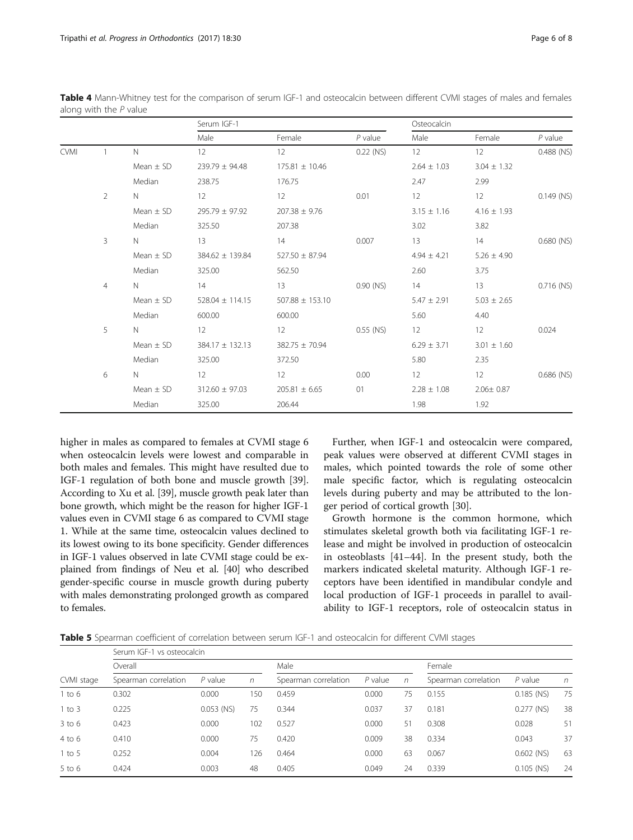|             |                |               | Serum IGF-1         |                     |             | Osteocalcin     |                 |              |  |  |  |
|-------------|----------------|---------------|---------------------|---------------------|-------------|-----------------|-----------------|--------------|--|--|--|
|             |                |               | Male                | Female              | $P$ value   | Male            | Female          | $P$ value    |  |  |  |
| <b>CVMI</b> |                | $\mathsf{N}$  | 12                  | 12                  | $0.22$ (NS) | 12              | 12              | $0.488$ (NS) |  |  |  |
|             |                | Mean $\pm$ SD | $239.79 \pm 94.48$  | $175.81 \pm 10.46$  |             | $2.64 \pm 1.03$ | $3.04 \pm 1.32$ |              |  |  |  |
|             |                | Median        | 238.75              | 176.75              |             | 2.47            | 2.99            |              |  |  |  |
|             | $\overline{2}$ | N.            | 12                  | 12                  | 0.01        | 12              | 12              | $0.149$ (NS) |  |  |  |
|             |                | Mean $\pm$ SD | $295.79 \pm 97.92$  | $207.38 \pm 9.76$   |             | $3.15 \pm 1.16$ | $4.16 \pm 1.93$ |              |  |  |  |
|             |                | Median        | 325.50              | 207.38              |             | 3.02            | 3.82            |              |  |  |  |
|             | 3              | N             | 13                  | 14                  | 0.007       | 13              | 14              | $0.680$ (NS) |  |  |  |
|             |                | Mean $\pm$ SD | 384.62 ± 139.84     | $527.50 \pm 87.94$  |             | $4.94 \pm 4.21$ | $5.26 \pm 4.90$ |              |  |  |  |
|             |                | Median        | 325.00              | 562.50              |             | 2.60            | 3.75            |              |  |  |  |
|             | $\overline{4}$ | N.            | 14                  | 13                  | $0.90$ (NS) | 14              | 13              | $0.716$ (NS) |  |  |  |
|             |                | Mean $\pm$ SD | $528.04 \pm 114.15$ | $507.88 \pm 153.10$ |             | $5.47 \pm 2.91$ | $5.03 \pm 2.65$ |              |  |  |  |
|             |                | Median        | 600.00              | 600.00              |             | 5.60            | 4.40            |              |  |  |  |
|             | 5              | N.            | 12                  | 12                  | $0.55$ (NS) | 12              | 12              | 0.024        |  |  |  |
|             |                | $Mean \pm SD$ | $384.17 \pm 132.13$ | 382.75 ± 70.94      |             | $6.29 \pm 3.71$ | $3.01 \pm 1.60$ |              |  |  |  |
|             |                | Median        | 325.00              | 372.50              |             | 5.80            | 2.35            |              |  |  |  |
|             | 6              | $\mathbb{N}$  | 12                  | 12                  | 0.00        | 12              | 12              | $0.686$ (NS) |  |  |  |
|             |                | Mean $\pm$ SD | $312.60 \pm 97.03$  | $205.81 \pm 6.65$   | 01          | $2.28 \pm 1.08$ | $2.06 \pm 0.87$ |              |  |  |  |
|             |                | Median        | 325.00              | 206.44              |             | 1.98            | 1.92            |              |  |  |  |

<span id="page-5-0"></span>Table 4 Mann-Whitney test for the comparison of serum IGF-1 and osteocalcin between different CVMI stages of males and females along with the  $P$  value

higher in males as compared to females at CVMI stage 6 when osteocalcin levels were lowest and comparable in both males and females. This might have resulted due to IGF-1 regulation of both bone and muscle growth [\[39](#page-7-0)]. According to Xu et al. [\[39\]](#page-7-0), muscle growth peak later than bone growth, which might be the reason for higher IGF-1 values even in CVMI stage 6 as compared to CVMI stage 1. While at the same time, osteocalcin values declined to its lowest owing to its bone specificity. Gender differences in IGF-1 values observed in late CVMI stage could be explained from findings of Neu et al. [[40](#page-7-0)] who described gender-specific course in muscle growth during puberty with males demonstrating prolonged growth as compared to females.

Further, when IGF-1 and osteocalcin were compared, peak values were observed at different CVMI stages in males, which pointed towards the role of some other male specific factor, which is regulating osteocalcin levels during puberty and may be attributed to the longer period of cortical growth [[30](#page-7-0)].

Growth hormone is the common hormone, which stimulates skeletal growth both via facilitating IGF-1 release and might be involved in production of osteocalcin in osteoblasts [\[41](#page-7-0)–[44\]](#page-7-0). In the present study, both the markers indicated skeletal maturity. Although IGF-1 receptors have been identified in mandibular condyle and local production of IGF-1 proceeds in parallel to availability to IGF-1 receptors, role of osteocalcin status in

Table 5 Spearman coefficient of correlation between serum IGF-1 and osteocalcin for different CVMI stages

|            | Serum IGF-1 vs osteocalcin |              |      |                      |           |        |                      |              |    |
|------------|----------------------------|--------------|------|----------------------|-----------|--------|----------------------|--------------|----|
|            | Overall                    |              | Male |                      |           | Female |                      |              |    |
| CVMI stage | Spearman correlation       | $P$ value    | n    | Spearman correlation | $P$ value | n      | Spearman correlation | $P$ value    | n  |
| 1 to 6     | 0.302                      | 0.000        | 150  | 0.459                | 0.000     | 75     | 0.155                | $0.185$ (NS) | 75 |
| $1$ to $3$ | 0.225                      | $0.053$ (NS) | 75   | 0.344                | 0.037     | 37     | 0.181                | $0.277$ (NS) | 38 |
| $3$ to 6   | 0.423                      | 0.000        | 102  | 0.527                | 0.000     | 51     | 0.308                | 0.028        | 51 |
| $4$ to $6$ | 0.410                      | 0.000        | 75   | 0.420                | 0.009     | 38     | 0.334                | 0.043        | 37 |
| $1$ to 5   | 0.252                      | 0.004        | 126  | 0.464                | 0.000     | 63     | 0.067                | $0.602$ (NS) | 63 |
| $5$ to 6   | 0.424                      | 0.003        | 48   | 0.405                | 0.049     | 24     | 0.339                | $0.105$ (NS) | 24 |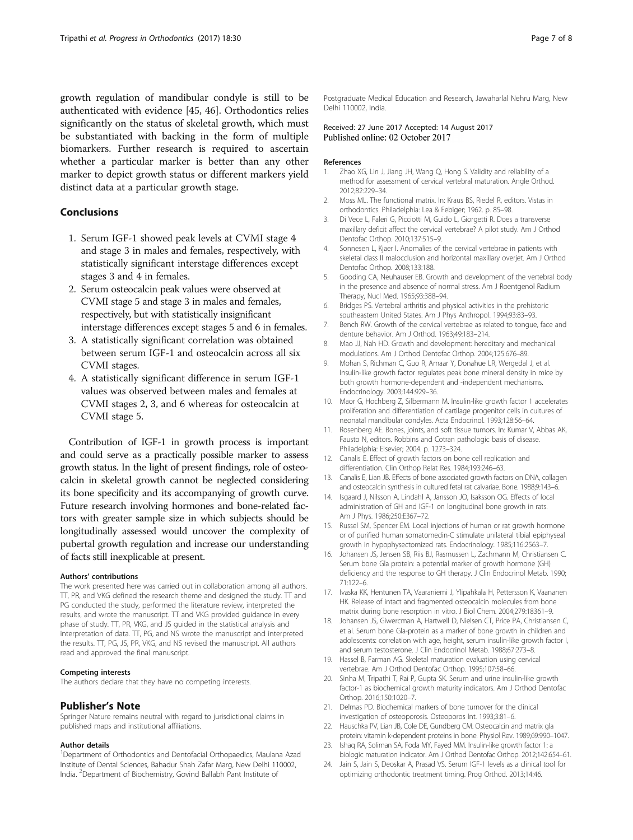<span id="page-6-0"></span>growth regulation of mandibular condyle is still to be authenticated with evidence [[45, 46\]](#page-7-0). Orthodontics relies significantly on the status of skeletal growth, which must be substantiated with backing in the form of multiple biomarkers. Further research is required to ascertain whether a particular marker is better than any other marker to depict growth status or different markers yield distinct data at a particular growth stage.

### Conclusions

- 1. Serum IGF-1 showed peak levels at CVMI stage 4 and stage 3 in males and females, respectively, with statistically significant interstage differences except stages 3 and 4 in females.
- 2. Serum osteocalcin peak values were observed at CVMI stage 5 and stage 3 in males and females, respectively, but with statistically insignificant interstage differences except stages 5 and 6 in females.
- 3. A statistically significant correlation was obtained between serum IGF-1 and osteocalcin across all six CVMI stages.
- 4. A statistically significant difference in serum IGF-1 values was observed between males and females at CVMI stages 2, 3, and 6 whereas for osteocalcin at CVMI stage 5.

Contribution of IGF-1 in growth process is important and could serve as a practically possible marker to assess growth status. In the light of present findings, role of osteocalcin in skeletal growth cannot be neglected considering its bone specificity and its accompanying of growth curve. Future research involving hormones and bone-related factors with greater sample size in which subjects should be longitudinally assessed would uncover the complexity of pubertal growth regulation and increase our understanding of facts still inexplicable at present.

#### Authors' contributions

The work presented here was carried out in collaboration among all authors. TT, PR, and VKG defined the research theme and designed the study. TT and PG conducted the study, performed the literature review, interpreted the results, and wrote the manuscript. TT and VKG provided guidance in every phase of study. TT, PR, VKG, and JS guided in the statistical analysis and interpretation of data. TT, PG, and NS wrote the manuscript and interpreted the results. TT, PG, JS, PR, VKG, and NS revised the manuscript. All authors read and approved the final manuscript.

#### Competing interests

The authors declare that they have no competing interests.

#### Publisher's Note

Springer Nature remains neutral with regard to jurisdictional claims in published maps and institutional affiliations.

#### Author details

<sup>1</sup>Department of Orthodontics and Dentofacial Orthopaedics, Maulana Azad Institute of Dental Sciences, Bahadur Shah Zafar Marg, New Delhi 110002, India. <sup>2</sup> Department of Biochemistry, Govind Ballabh Pant Institute of

Postgraduate Medical Education and Research, Jawaharlal Nehru Marg, New Delhi 110002, India.

#### Received: 27 June 2017 Accepted: 14 August 2017 Published online: 02 October 2017

#### References

- 1. Zhao XG, Lin J, Jiang JH, Wang Q, Hong S. Validity and reliability of a method for assessment of cervical vertebral maturation. Angle Orthod. 2012;82:229–34.
- 2. Moss ML. The functional matrix. In: Kraus BS, Riedel R, editors. Vistas in orthodontics. Philadelphia: Lea & Febiger; 1962. p. 85–98.
- 3. Di Vece L, Faleri G, Picciotti M, Guido L, Giorgetti R. Does a transverse maxillary deficit affect the cervical vertebrae? A pilot study. Am J Orthod Dentofac Orthop. 2010;137:515–9.
- 4. Sonnesen L, Kjaer I. Anomalies of the cervical vertebrae in patients with skeletal class II malocclusion and horizontal maxillary overjet. Am J Orthod Dentofac Orthop. 2008;133:188.
- 5. Gooding CA, Neuhauser EB. Growth and development of the vertebral body in the presence and absence of normal stress. Am J Roentgenol Radium Therapy, Nucl Med. 1965;93:388–94.
- 6. Bridges PS. Vertebral arthritis and physical activities in the prehistoric southeastern United States. Am J Phys Anthropol. 1994;93:83–93.
- 7. Bench RW. Growth of the cervical vertebrae as related to tongue, face and denture behavior. Am J Orthod. 1963;49:183–214.
- 8. Mao JJ, Nah HD. Growth and development: hereditary and mechanical modulations. Am J Orthod Dentofac Orthop. 2004;125:676–89.
- 9. Mohan S, Richman C, Guo R, Amaar Y, Donahue LR, Wergedal J, et al. Insulin-like growth factor regulates peak bone mineral density in mice by both growth hormone-dependent and -independent mechanisms. Endocrinology. 2003;144:929–36.
- 10. Maor G, Hochberg Z, Silbermann M. Insulin-like growth factor 1 accelerates proliferation and differentiation of cartilage progenitor cells in cultures of neonatal mandibular condyles. Acta Endocrinol. 1993;128:56–64.
- 11. Rosenberg AE. Bones, joints, and soft tissue tumors. In: Kumar V, Abbas AK, Fausto N, editors. Robbins and Cotran pathologic basis of disease. Philadelphia: Elsevier; 2004. p. 1273–324.
- 12. Canalis E. Effect of growth factors on bone cell replication and differentiation. Clin Orthop Relat Res. 1984;193:246–63.
- 13. Canalis E, Lian JB. Effects of bone associated growth factors on DNA, collagen and osteocalcin synthesis in cultured fetal rat calvariae. Bone. 1988;9:143–6.
- 14. Isgaard J, Nilsson A, Lindahl A, Jansson JO, Isaksson OG. Effects of local administration of GH and IGF-1 on longitudinal bone growth in rats. Am J Phys. 1986;250:E367–72.
- 15. Russel SM, Spencer EM. Local injections of human or rat growth hormone or of purified human somatomedin-C stimulate unilateral tibial epiphyseal growth in hypophysectomized rats. Endocrinology. 1985;116:2563–7.
- 16. Johansen JS, Jensen SB, Riis BJ, Rasmussen L, Zachmann M, Christiansen C. Serum bone Gla protein: a potential marker of growth hormone (GH) deficiency and the response to GH therapy. J Clin Endocrinol Metab. 1990; 71:122–6.
- 17. Ivaska KK, Hentunen TA, Vaaraniemi J, Ylipahkala H, Pettersson K, Vaananen HK. Release of intact and fragmented osteocalcin molecules from bone matrix during bone resorption in vitro. J Biol Chem. 2004;279:18361–9.
- 18. Johansen JS, Giwercman A, Hartwell D, Nielsen CT, Price PA, Christiansen C, et al. Serum bone Gla-protein as a marker of bone growth in children and adolescents: correlation with age, height, serum insulin-like growth factor I, and serum testosterone. J Clin Endocrinol Metab. 1988;67:273–8.
- 19. Hassel B, Farman AG. Skeletal maturation evaluation using cervical vertebrae. Am J Orthod Dentofac Orthop. 1995;107:58–66.
- 20. Sinha M, Tripathi T, Rai P, Gupta SK. Serum and urine insulin-like growth factor-1 as biochemical growth maturity indicators. Am J Orthod Dentofac Orthop. 2016;150:1020–7.
- 21. Delmas PD. Biochemical markers of bone turnover for the clinical investigation of osteoporosis. Osteoporos Int. 1993;3:81–6.
- 22. Hauschka PV, Lian JB, Cole DE, Gundberg CM. Osteocalcin and matrix gla protein: vitamin k-dependent proteins in bone. Physiol Rev. 1989;69:990–1047.
- 23. Ishaq RA, Soliman SA, Foda MY, Fayed MM. Insulin-like growth factor 1: a biologic maturation indicator. Am J Orthod Dentofac Orthop. 2012;142:654–61.
- 24. Jain S, Jain S, Deoskar A, Prasad VS. Serum IGF-1 levels as a clinical tool for optimizing orthodontic treatment timing. Prog Orthod. 2013;14:46.